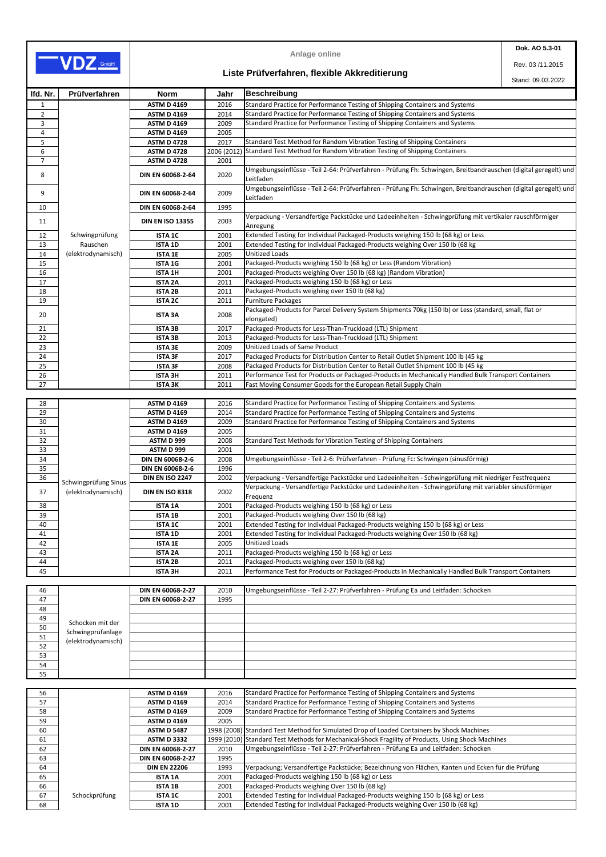|                |                                            |                         |             | <b>Anlage online</b>                                                                                                         | Dok. AO 5.3-01    |
|----------------|--------------------------------------------|-------------------------|-------------|------------------------------------------------------------------------------------------------------------------------------|-------------------|
| VDZ GmbH       |                                            |                         |             |                                                                                                                              | Rev. 03/11.2015   |
|                |                                            |                         |             | Liste Prüfverfahren, flexible Akkreditierung                                                                                 | Stand: 09.03.2022 |
| Ifd. Nr.       | Prüfverfahren                              | <b>Norm</b>             | Jahr        | Beschreibung                                                                                                                 |                   |
| 1              |                                            | <b>ASTM D 4169</b>      | 2016        | Standard Practice for Performance Testing of Shipping Containers and Systems                                                 |                   |
| $\overline{2}$ |                                            | <b>ASTM D 4169</b>      | 2014        | Standard Practice for Performance Testing of Shipping Containers and Systems                                                 |                   |
| 3              |                                            | <b>ASTM D 4169</b>      | 2009        | Standard Practice for Performance Testing of Shipping Containers and Systems                                                 |                   |
| 4              |                                            | <b>ASTM D 4169</b>      | 2005        |                                                                                                                              |                   |
| 5              |                                            | <b>ASTM D 4728</b>      | 2017        | Standard Test Method for Random Vibration Testing of Shipping Containers                                                     |                   |
| 6              |                                            | <b>ASTM D 4728</b>      | 2006 (2012) | Standard Test Method for Random Vibration Testing of Shipping Containers                                                     |                   |
| $\overline{7}$ |                                            | <b>ASTM D 4728</b>      | 2001        |                                                                                                                              |                   |
| 8              |                                            | DIN EN 60068-2-64       | 2020        | Umgebungseinflüsse - Teil 2-64: Prüfverfahren - Prüfung Fh: Schwingen, Breitbandrauschen (digital geregelt) und<br>Leitfaden |                   |
| 9              |                                            | DIN EN 60068-2-64       | 2009        | Umgebungseinflüsse - Teil 2-64: Prüfverfahren - Prüfung Fh: Schwingen, Breitbandrauschen (digital geregelt) und<br>Leitfaden |                   |
| 10             |                                            | DIN EN 60068-2-64       | 1995        |                                                                                                                              |                   |
|                |                                            |                         |             | Verpackung - Versandfertige Packstücke und Ladeeinheiten - Schwingprüfung mit vertikaler rauschförmiger                      |                   |
| 11             |                                            | <b>DIN EN ISO 13355</b> | 2003        | Anregung                                                                                                                     |                   |
| 12             | Schwingprüfung                             | <b>ISTA 1C</b>          | 2001        | Extended Testing for Individual Packaged-Products weighing 150 lb (68 kg) or Less                                            |                   |
| 13             | Rauschen                                   | <b>ISTA 1D</b>          | 2001        | Extended Testing for Individual Packaged-Products weighing Over 150 lb (68 kg                                                |                   |
| 14             | (elektrodynamisch)                         | <b>ISTA 1E</b>          | 2005        | <b>Unitized Loads</b>                                                                                                        |                   |
| 15             |                                            | <b>ISTA 1G</b>          | 2001        | Packaged-Products weighing 150 lb (68 kg) or Less (Random Vibration)                                                         |                   |
| 16             |                                            | <b>ISTA 1H</b>          | 2001        | Packaged-Products weighing Over 150 lb (68 kg) (Random Vibration)                                                            |                   |
| 17             |                                            | <b>ISTA 2A</b>          | 2011        | Packaged-Products weighing 150 lb (68 kg) or Less                                                                            |                   |
| 18             |                                            | <b>ISTA 2B</b>          | 2011        | Packaged-Products weighing over 150 lb (68 kg)                                                                               |                   |
| 19             |                                            | <b>ISTA 2C</b>          | 2011        | <b>Furniture Packages</b>                                                                                                    |                   |
|                |                                            |                         |             | Packaged-Products for Parcel Delivery System Shipments 70kg (150 lb) or Less (standard, small, flat or                       |                   |
| 20             |                                            | <b>ISTA 3A</b>          | 2008        | elongated)                                                                                                                   |                   |
| 21             |                                            | <b>ISTA 3B</b>          | 2017        | Packaged-Products for Less-Than-Truckload (LTL) Shipment                                                                     |                   |
| 22             |                                            | <b>ISTA 3B</b>          | 2013        | Packaged-Products for Less-Than-Truckload (LTL) Shipment                                                                     |                   |
| 23             |                                            | <b>ISTA 3E</b>          | 2009        | Unitized Loads of Same Product                                                                                               |                   |
| 24             |                                            | <b>ISTA 3F</b>          | 2017        | Packaged Products for Distribution Center to Retail Outlet Shipment 100 lb (45 kg                                            |                   |
| 25             |                                            | <b>ISTA 3F</b>          | 2008        | Packaged Products for Distribution Center to Retail Outlet Shipment 100 lb (45 kg                                            |                   |
| 26             |                                            | <b>ISTA 3H</b>          | 2011        | Performance Test for Products or Packaged-Products in Mechanically Handled Bulk Transport Containers                         |                   |
| 27             |                                            | <b>ISTA 3K</b>          | 2011        | Fast Moving Consumer Goods for the European Retail Supply Chain                                                              |                   |
| 28             |                                            | <b>ASTM D 4169</b>      | 2016        | Standard Practice for Performance Testing of Shipping Containers and Systems                                                 |                   |
| 29             |                                            | <b>ASTM D 4169</b>      | 2014        | Standard Practice for Performance Testing of Shipping Containers and Systems                                                 |                   |
| 30             |                                            | <b>ASTM D 4169</b>      | 2009        | Standard Practice for Performance Testing of Shipping Containers and Systems                                                 |                   |
| 31             |                                            | <b>ASTM D 4169</b>      | 2005        |                                                                                                                              |                   |
| 32             |                                            | <b>ASTM D 999</b>       | 2008        | Standard Test Methods for Vibration Testing of Shipping Containers                                                           |                   |
| 33             |                                            | <b>ASTM D 999</b>       | 2001        |                                                                                                                              |                   |
| 34             |                                            | <b>DIN EN 60068-2-6</b> | 2008        | Umgebungseinflüsse - Teil 2-6: Prüfverfahren - Prüfung Fc: Schwingen (sinusförmig)                                           |                   |
| 35             |                                            | <b>DIN EN 60068-2-6</b> | 1996        |                                                                                                                              |                   |
| 36             |                                            | <b>DIN EN ISO 2247</b>  | 2002        | Verpackung - Versandfertige Packstücke und Ladeeinheiten - Schwingprüfung mit niedriger Festfrequenz                         |                   |
| 37             | Schwingprüfung Sinus<br>(elektrodynamisch) | <b>DIN EN ISO 8318</b>  | 2002        | Verpackung - Versandfertige Packstücke und Ladeeinheiten - Schwingprüfung mit variabler sinusförmiger<br>Frequenz            |                   |
| 38             |                                            | <b>ISTA 1A</b>          | 2001        | Packaged-Products weighing 150 lb (68 kg) or Less                                                                            |                   |
| 39             |                                            | <b>ISTA 1B</b>          | 2001        | Packaged-Products weighing Over 150 lb (68 kg)                                                                               |                   |
| 40             |                                            | <b>ISTA 1C</b>          | 2001        | Extended Testing for Individual Packaged-Products weighing 150 lb (68 kg) or Less                                            |                   |
| 41             |                                            | <b>ISTA 1D</b>          | 2001        | Extended Testing for Individual Packaged-Products weighing Over 150 lb (68 kg)                                               |                   |
| 42             |                                            | <b>ISTA 1E</b>          | 2005        | <b>Unitized Loads</b>                                                                                                        |                   |
| 43             |                                            | <b>ISTA 2A</b>          | 2011        | Packaged-Products weighing 150 lb (68 kg) or Less                                                                            |                   |
| 44             |                                            | <b>ISTA 2B</b>          | 2011        | Packaged-Products weighing over 150 lb (68 kg)                                                                               |                   |
| 45             |                                            | <b>ISTA 3H</b>          | 2011        | Performance Test for Products or Packaged-Products in Mechanically Handled Bulk Transport Containers                         |                   |

| 46 |                    | DIN EN 60068-2-27 | 2010 | Umgebungseinflüsse - Teil 2-27: Prüfverfahren - Prüfung Ea und Leitfaden: Schocken |
|----|--------------------|-------------------|------|------------------------------------------------------------------------------------|
| 47 |                    | DIN EN 60068-2-27 | 1995 |                                                                                    |
| 48 |                    |                   |      |                                                                                    |
| 49 | Schocken mit der   |                   |      |                                                                                    |
| 50 | Schwingprüfanlage  |                   |      |                                                                                    |
| 51 | (elektrodynamisch) |                   |      |                                                                                    |
| 52 |                    |                   |      |                                                                                    |
| 53 |                    |                   |      |                                                                                    |
| 54 |                    |                   |      |                                                                                    |
| 55 |                    |                   |      |                                                                                    |

| 56 |               | <b>ASTM D 4169</b>       | 2016 | Standard Practice for Performance Testing of Shipping Containers and Systems                       |
|----|---------------|--------------------------|------|----------------------------------------------------------------------------------------------------|
| 57 |               | <b>ASTM D 4169</b>       | 2014 | Standard Practice for Performance Testing of Shipping Containers and Systems                       |
| 58 |               | <b>ASTM D 4169</b>       | 2009 | Standard Practice for Performance Testing of Shipping Containers and Systems                       |
| 59 |               | <b>ASTM D 4169</b>       | 2005 |                                                                                                    |
| 60 |               | <b>ASTM D 5487</b>       |      | 1998 (2008) Standard Test Method for Simulated Drop of Loaded Containers by Shock Machines         |
| 61 |               | <b>ASTM D 3332</b>       |      | 1999 (2010) Standard Test Methods for Mechanical-Shock Fragility of Products, Using Shock Machines |
| 62 |               | <b>DIN EN 60068-2-27</b> | 2010 | Umgebungseinflüsse - Teil 2-27: Prüfverfahren - Prüfung Ea und Leitfaden: Schocken                 |
| 63 |               | <b>DIN EN 60068-2-27</b> | 1995 |                                                                                                    |
| 64 |               | <b>DIN EN 22206</b>      | 1993 | Verpackung; Versandfertige Packstücke; Bezeichnung von Flächen, Kanten und Ecken für die Prüfung   |
| 65 |               | <b>ISTA 1A</b>           | 2001 | Packaged-Products weighing 150 lb (68 kg) or Less                                                  |
| 66 |               | <b>ISTA 1B</b>           | 2001 | Packaged-Products weighing Over 150 lb (68 kg)                                                     |
| 67 | Schockprüfung | <b>ISTA 1C</b>           | 2001 | Extended Testing for Individual Packaged-Products weighing 150 lb (68 kg) or Less                  |
| 68 |               | <b>ISTA 1D</b>           | 2001 | Extended Testing for Individual Packaged-Products weighing Over 150 lb (68 kg)                     |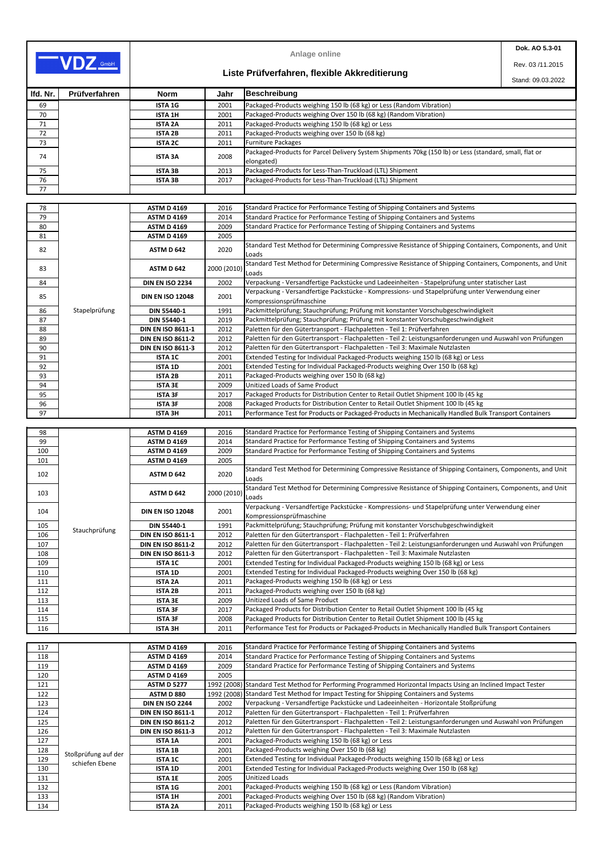|          |               |                          |             | <b>Anlage online</b>                                                                                                        | Dok. AO 5.3-01 |
|----------|---------------|--------------------------|-------------|-----------------------------------------------------------------------------------------------------------------------------|----------------|
| VDZ GmbH |               |                          |             | Rev. 03/11.2015                                                                                                             |                |
|          |               |                          |             | Liste Prüfverfahren, flexible Akkreditierung<br>Stand: 09.03.2022                                                           |                |
| Ifd. Nr. | Prüfverfahren | <b>Norm</b>              | Jahr        | <b>Beschreibung</b>                                                                                                         |                |
| 69       |               | <b>ISTA 1G</b>           | 2001        | Packaged-Products weighing 150 lb (68 kg) or Less (Random Vibration)                                                        |                |
| 70       |               | <b>ISTA 1H</b>           | 2001        | Packaged-Products weighing Over 150 lb (68 kg) (Random Vibration)                                                           |                |
| 71       |               | <b>ISTA 2A</b>           | 2011        | Packaged-Products weighing 150 lb (68 kg) or Less                                                                           |                |
| 72       |               | <b>ISTA 2B</b>           | 2011        | Packaged-Products weighing over 150 lb (68 kg)                                                                              |                |
| 73       |               | <b>ISTA 2C</b>           | 2011        | <b>Furniture Packages</b>                                                                                                   |                |
| 74       |               | <b>ISTA 3A</b>           | 2008        | Packaged-Products for Parcel Delivery System Shipments 70kg (150 lb) or Less (standard, small, flat or<br>elongated)        |                |
| 75       |               | <b>ISTA 3B</b>           | 2013        | Packaged-Products for Less-Than-Truckload (LTL) Shipment                                                                    |                |
| 76       |               | <b>ISTA 3B</b>           | 2017        | Packaged-Products for Less-Than-Truckload (LTL) Shipment                                                                    |                |
| 77       |               |                          |             |                                                                                                                             |                |
|          |               |                          |             |                                                                                                                             |                |
| 78       |               | <b>ASTM D 4169</b>       | 2016        | Standard Practice for Performance Testing of Shipping Containers and Systems                                                |                |
| 79       |               | <b>ASTM D 4169</b>       | 2014        | Standard Practice for Performance Testing of Shipping Containers and Systems                                                |                |
| 80       |               | <b>ASTM D 4169</b>       | 2009        | Standard Practice for Performance Testing of Shipping Containers and Systems                                                |                |
| 81       |               | <b>ASTM D 4169</b>       | 2005        |                                                                                                                             |                |
| 82       |               | <b>ASTM D 642</b>        | 2020        | Standard Test Method for Determining Compressive Resistance of Shipping Containers, Components, and Unit<br>Loads           |                |
| 83       |               | ASTM D 642               | 2000 (2010) | Standard Test Method for Determining Compressive Resistance of Shipping Containers, Components, and Unit<br>Loads           |                |
| 84       |               | <b>DIN EN ISO 2234</b>   | 2002        | Verpackung - Versandfertige Packstücke und Ladeeinheiten - Stapelprüfung unter statischer Last                              |                |
| 85       |               | <b>DIN EN ISO 12048</b>  | 2001        | Verpackung - Versandfertige Packstücke - Kompressions- und Stapelprüfung unter Verwendung einer<br>Kompressionsprüfmaschine |                |
| 86       | Stapelprüfung | <b>DIN 55440-1</b>       | 1991        | Packmittelprüfung; Stauchprüfung; Prüfung mit konstanter Vorschubgeschwindigkeit                                            |                |
| 87       |               | <b>DIN 55440-1</b>       | 2019        | Packmittelprüfung; Stauchprüfung; Prüfung mit konstanter Vorschubgeschwindigkeit                                            |                |
| 88       |               | <b>DIN EN ISO 8611-1</b> | 2012        | Paletten für den Gütertransport - Flachpaletten - Teil 1: Prüfverfahren                                                     |                |
|          |               |                          |             | Paletten für den Gütertransport - Flachpaletten - Teil 2: Leistungsanforderungen und Auswahl von Prüfungen                  |                |
| 89       |               | <b>DIN EN ISO 8611-2</b> | 2012        |                                                                                                                             |                |
| 90       |               | <b>DIN EN ISO 8611-3</b> | 2012        | Paletten für den Gütertransport - Flachpaletten - Teil 3: Maximale Nutzlasten                                               |                |
| 91       |               | <b>ISTA 1C</b>           | 2001        | Extended Testing for Individual Packaged-Products weighing 150 lb (68 kg) or Less                                           |                |
| 92       |               | <b>ISTA 1D</b>           | 2001        | Extended Testing for Individual Packaged-Products weighing Over 150 lb (68 kg)                                              |                |
| 93       |               | <b>ISTA 2B</b>           | 2011        | Packaged-Products weighing over 150 lb (68 kg)                                                                              |                |
| 94       |               | <b>ISTA 3E</b>           | 2009        | Unitized Loads of Same Product                                                                                              |                |
| 95       |               | <b>ISTA 3F</b>           | 2017        | Packaged Products for Distribution Center to Retail Outlet Shipment 100 lb (45 kg                                           |                |
| 96       |               | <b>ISTA 3F</b>           | 2008        | Packaged Products for Distribution Center to Retail Outlet Shipment 100 lb (45 kg                                           |                |
| 97       |               | <b>ISTA 3H</b>           | 2011        | Performance Test for Products or Packaged-Products in Mechanically Handled Bulk Transport Containers                        |                |
|          |               |                          |             |                                                                                                                             |                |
| 98       |               | <b>ASTM D 4169</b>       | 2016        | Standard Practice for Performance Testing of Shipping Containers and Systems                                                |                |
| 99       |               | <b>ASTM D 4169</b>       | 2014        | Standard Practice for Performance Testing of Shipping Containers and Systems                                                |                |
| 100      |               | <b>ASTM D 4169</b>       | 2009        | Standard Practice for Performance Testing of Shipping Containers and Systems                                                |                |
| 101      |               | <b>ASTM D 4169</b>       | 2005        |                                                                                                                             |                |
| 102      |               | <b>ASTM D 642</b>        | 2020        | Standard Test Method for Determining Compressive Resistance of Shipping Containers, Components, and Unit<br>Loads           |                |
| 103      |               | <b>ASTM D 642</b>        | 2000 (2010) | Standard Test Method for Determining Compressive Resistance of Shipping Containers, Components, and Unit<br>Loads           |                |
| 104      |               | <b>DIN EN ISO 12048</b>  | 2001        | Verpackung - Versandfertige Packstücke - Kompressions- und Stapelprüfung unter Verwendung einer<br>Kompressionsprüfmaschine |                |
| 105      |               | <b>DIN 55440-1</b>       | 1991        | Packmittelprüfung; Stauchprüfung; Prüfung mit konstanter Vorschubgeschwindigkeit                                            |                |
| 106      | Stauchprüfung | <b>DIN EN ISO 8611-1</b> | 2012        | Paletten für den Gütertransport - Flachpaletten - Teil 1: Prüfverfahren                                                     |                |
| 107      |               | <b>DIN EN ISO 8611-2</b> | 2012        | Paletten für den Gütertransport - Flachpaletten - Teil 2: Leistungsanforderungen und Auswahl von Prüfungen                  |                |
| 108      |               | <b>DIN EN ISO 8611-3</b> | 2012        | Paletten für den Gütertransport - Flachpaletten - Teil 3: Maximale Nutzlasten                                               |                |
| 109      |               | <b>ISTA 1C</b>           | 2001        | Extended Testing for Individual Packaged-Products weighing 150 lb (68 kg) or Less                                           |                |
| 110      |               | <b>ISTA 1D</b>           | 2001        | Extended Testing for Individual Packaged-Products weighing Over 150 lb (68 kg)                                              |                |
| 111      |               | <b>ISTA 2A</b>           | 2011        | Packaged-Products weighing 150 lb (68 kg) or Less                                                                           |                |
| 112      |               | <b>ISTA 2B</b>           | 2011        | Packaged-Products weighing over 150 lb (68 kg)                                                                              |                |
| 113      |               | <b>ISTA 3E</b>           | 2009        | <b>Unitized Loads of Same Product</b>                                                                                       |                |
| 114      |               | <b>ISTA 3F</b>           | 2017        | Packaged Products for Distribution Center to Retail Outlet Shipment 100 lb (45 kg                                           |                |
| 115      |               | <b>ISTA 3F</b>           | 2008        | Packaged Products for Distribution Center to Retail Outlet Shipment 100 lb (45 kg                                           |                |
| 116      |               | <b>ISTA 3H</b>           | 2011        | Performance Test for Products or Packaged-Products in Mechanically Handled Bulk Transport Containers                        |                |

| 117 |                     | <b>ASTM D 4169</b>       | 2016 | Standard Practice for Performance Testing of Shipping Containers and Systems                                  |
|-----|---------------------|--------------------------|------|---------------------------------------------------------------------------------------------------------------|
| 118 |                     | <b>ASTM D 4169</b>       | 2014 | Standard Practice for Performance Testing of Shipping Containers and Systems                                  |
| 119 |                     | <b>ASTM D 4169</b>       | 2009 | Standard Practice for Performance Testing of Shipping Containers and Systems                                  |
| 120 |                     | <b>ASTM D 4169</b>       | 2005 |                                                                                                               |
| 121 |                     | <b>ASTM D 5277</b>       |      | 1992 (2008) Standard Test Method for Performing Programmed Horizontal Impacts Using an Inclined Impact Tester |
| 122 |                     | <b>ASTM D 880</b>        |      | 1992 (2008) Standard Test Method for Impact Testing for Shipping Containers and Systems                       |
| 123 |                     | <b>DIN EN ISO 2244</b>   | 2002 | Verpackung - Versandfertige Packstücke und Ladeeinheiten - Horizontale Stoßprüfung                            |
| 124 |                     | <b>DIN EN ISO 8611-1</b> | 2012 | Paletten für den Gütertransport - Flachpaletten - Teil 1: Prüfverfahren                                       |
| 125 |                     | <b>DIN EN ISO 8611-2</b> | 2012 | Paletten für den Gütertransport - Flachpaletten - Teil 2: Leistungsanforderungen und Auswahl von Prüfungen    |
| 126 |                     | <b>DIN EN ISO 8611-3</b> | 2012 | Paletten für den Gütertransport - Flachpaletten - Teil 3: Maximale Nutzlasten                                 |
| 127 |                     | <b>ISTA 1A</b>           | 2001 | Packaged-Products weighing 150 lb (68 kg) or Less                                                             |
| 128 | Stoßprüfung auf der | <b>ISTA 1B</b>           | 2001 | Packaged-Products weighing Over 150 lb (68 kg)                                                                |
| 129 | schiefen Ebene      | <b>ISTA 1C</b>           | 2001 | Extended Testing for Individual Packaged-Products weighing 150 lb (68 kg) or Less                             |
| 130 |                     | <b>ISTA 1D</b>           | 2001 | Extended Testing for Individual Packaged-Products weighing Over 150 lb (68 kg)                                |
| 131 |                     | <b>ISTA 1E</b>           | 2005 | Unitized Loads                                                                                                |
| 132 |                     | <b>ISTA 1G</b>           | 2001 | [Packaged-Products weighing 150 lb (68 kg) or Less (Random Vibration)                                         |
| 133 |                     | <b>ISTA 1H</b>           | 2001 | Packaged-Products weighing Over 150 lb (68 kg) (Random Vibration)                                             |
| 134 |                     | <b>ISTA 2A</b>           | 2011 | Packaged-Products weighing 150 lb (68 kg) or Less                                                             |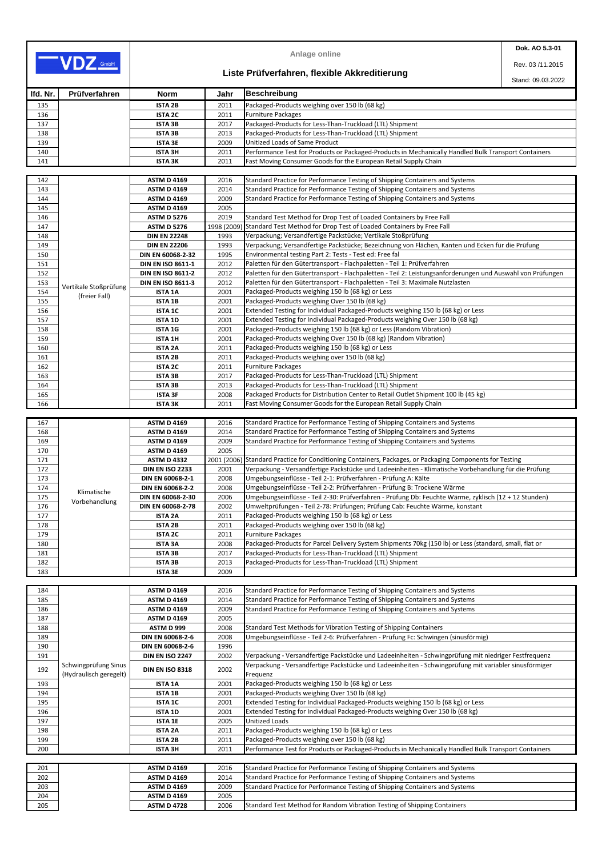|            |                       |                                  |              | <b>Anlage online</b>                                                                                                                           | Dok. AO 5.3-01    |
|------------|-----------------------|----------------------------------|--------------|------------------------------------------------------------------------------------------------------------------------------------------------|-------------------|
|            | VDZ GmbH              |                                  |              |                                                                                                                                                | Rev. 03/11.2015   |
|            |                       |                                  |              | Liste Prüfverfahren, flexible Akkreditierung                                                                                                   | Stand: 09.03.2022 |
| Ifd. Nr.   | Prüfverfahren         | <b>Norm</b>                      | Jahr         | <b>Beschreibung</b>                                                                                                                            |                   |
| 135        |                       | <b>ISTA 2B</b>                   | 2011         | Packaged-Products weighing over 150 lb (68 kg)                                                                                                 |                   |
| 136        |                       | <b>ISTA 2C</b>                   | 2011         | <b>Furniture Packages</b>                                                                                                                      |                   |
| 137        |                       | <b>ISTA 3B</b>                   | 2017         | Packaged-Products for Less-Than-Truckload (LTL) Shipment                                                                                       |                   |
| 138        |                       | <b>ISTA 3B</b>                   | 2013         | Packaged-Products for Less-Than-Truckload (LTL) Shipment                                                                                       |                   |
| 139        |                       | <b>ISTA 3E</b>                   | 2009         | Unitized Loads of Same Product                                                                                                                 |                   |
| 140        |                       | <b>ISTA 3H</b>                   | 2011         | Performance Test for Products or Packaged-Products in Mechanically Handled Bulk Transport Containers                                           |                   |
| 141        |                       | <b>ISTA 3K</b>                   | 2011         | Fast Moving Consumer Goods for the European Retail Supply Chain                                                                                |                   |
|            |                       |                                  |              |                                                                                                                                                |                   |
| 142        |                       | <b>ASTM D 4169</b>               | 2016         | Standard Practice for Performance Testing of Shipping Containers and Systems                                                                   |                   |
| 143        |                       | <b>ASTM D 4169</b>               | 2014         | Standard Practice for Performance Testing of Shipping Containers and Systems                                                                   |                   |
| 144        |                       | <b>ASTM D 4169</b>               | 2009         | Standard Practice for Performance Testing of Shipping Containers and Systems                                                                   |                   |
| 145        |                       | <b>ASTM D 4169</b>               | 2005         |                                                                                                                                                |                   |
| 146        |                       | <b>ASTM D 5276</b>               | 2019         | Standard Test Method for Drop Test of Loaded Containers by Free Fall                                                                           |                   |
| 147        |                       | <b>ASTM D 5276</b>               | 1998 (2009)  | Standard Test Method for Drop Test of Loaded Containers by Free Fall                                                                           |                   |
| 148        |                       | <b>DIN EN 22248</b>              | 1993         | Verpackung; Versandfertige Packstücke; Vertikale Stoßprüfung                                                                                   |                   |
| 149        |                       | <b>DIN EN 22206</b>              | 1993         | Verpackung; Versandfertige Packstücke; Bezeichnung von Flächen, Kanten und Ecken für die Prüfung                                               |                   |
| 150        |                       | DIN EN 60068-2-32                | 1995         | Environmental testing Part 2: Tests - Test ed: Free fal                                                                                        |                   |
| 151        |                       | <b>DIN EN ISO 8611-1</b>         | 2012         | Paletten für den Gütertransport - Flachpaletten - Teil 1: Prüfverfahren                                                                        |                   |
| 152        |                       | <b>DIN EN ISO 8611-2</b>         | 2012         | Paletten für den Gütertransport - Flachpaletten - Teil 2: Leistungsanforderungen und Auswahl von Prüfungen                                     |                   |
| 153        | Vertikale Stoßprüfung | <b>DIN EN ISO 8611-3</b>         | 2012         | Paletten für den Gütertransport - Flachpaletten - Teil 3: Maximale Nutzlasten                                                                  |                   |
| 154        | (freier Fall)         | <b>ISTA 1A</b>                   | 2001         | Packaged-Products weighing 150 lb (68 kg) or Less                                                                                              |                   |
| 155        |                       | <b>ISTA 1B</b>                   | 2001         | Packaged-Products weighing Over 150 lb (68 kg)                                                                                                 |                   |
| 156        |                       | <b>ISTA 1C</b>                   | 2001         | Extended Testing for Individual Packaged-Products weighing 150 lb (68 kg) or Less                                                              |                   |
| 157        |                       | <b>ISTA 1D</b>                   | 2001         | Extended Testing for Individual Packaged-Products weighing Over 150 lb (68 kg)                                                                 |                   |
| 158        |                       | <b>ISTA 1G</b>                   | 2001         | Packaged-Products weighing 150 lb (68 kg) or Less (Random Vibration)                                                                           |                   |
| 159        |                       | <b>ISTA 1H</b>                   | 2001         | Packaged-Products weighing Over 150 lb (68 kg) (Random Vibration)                                                                              |                   |
| 160        |                       | <b>ISTA 2A</b>                   | 2011         | Packaged-Products weighing 150 lb (68 kg) or Less                                                                                              |                   |
| 161        |                       | <b>ISTA 2B</b>                   | 2011         | Packaged-Products weighing over 150 lb (68 kg)                                                                                                 |                   |
| 162        |                       | <b>ISTA 2C</b>                   | 2011         | <b>Furniture Packages</b>                                                                                                                      |                   |
| 163        |                       | <b>ISTA 3B</b>                   | 2017         | Packaged-Products for Less-Than-Truckload (LTL) Shipment                                                                                       |                   |
| 164        |                       | <b>ISTA 3B</b>                   | 2013         | Packaged-Products for Less-Than-Truckload (LTL) Shipment<br>Packaged Products for Distribution Center to Retail Outlet Shipment 100 lb (45 kg) |                   |
| 165<br>166 |                       | <b>ISTA 3F</b><br><b>ISTA 3K</b> | 2008<br>2011 | Fast Moving Consumer Goods for the European Retail Supply Chain                                                                                |                   |
|            |                       |                                  |              |                                                                                                                                                |                   |
| 167        |                       | <b>ASTM D 4169</b>               | 2016         | Standard Practice for Performance Testing of Shipping Containers and Systems                                                                   |                   |
| 168        |                       | <b>ASTM D 4169</b>               | 2014         | Standard Practice for Performance Testing of Shipping Containers and Systems                                                                   |                   |
| 169        |                       | <b>ASTM D 4169</b>               | 2009         | Standard Practice for Performance Testing of Shipping Containers and Systems                                                                   |                   |
| 170        |                       | <b>ASTM D 4169</b>               | 2005         |                                                                                                                                                |                   |
| 171        |                       | <b>ASTM D 4332</b>               |              | 2001 (2006) Standard Practice for Conditioning Containers, Packages, or Packaging Components for Testing                                       |                   |
| 172        |                       | <b>DIN EN ISO 2233</b>           | 2001         | Verpackung - Versandfertige Packstücke und Ladeeinheiten - Klimatische Vorbehandlung für die Prüfung                                           |                   |
| 173        |                       | DIN EN 60068-2-1                 | 2008         | Umgebungseinflüsse - Teil 2-1: Prüfverfahren - Prüfung A: Kälte                                                                                |                   |
| 174        |                       | DIN EN 60068-2-2                 | 2008         | Umgebungseinflüsse - Teil 2-2: Prüfverfahren - Prüfung B: Trockene Wärme                                                                       |                   |
| 175        | Klimatische           | DIN EN 60068-2-30                | 2006         | Umgebungseinflüsse - Teil 2-30: Prüfverfahren - Prüfung Db: Feuchte Wärme, zyklisch (12 + 12 Stunden)                                          |                   |
| 176        | Vorbehandlung         | <b>DIN EN 60068-2-78</b>         | 2002         | Umweltprüfungen - Teil 2-78: Prüfungen; Prüfung Cab: Feuchte Wärme, konstant                                                                   |                   |
| 177        |                       | <b>ISTA 2A</b>                   | 2011         | Packaged-Products weighing 150 lb (68 kg) or Less                                                                                              |                   |
| 178        |                       | <b>ISTA 2B</b>                   | 2011         | Packaged-Products weighing over 150 lb (68 kg)                                                                                                 |                   |
| 179        |                       | <b>ISTA 2C</b>                   | 2011         | <b>Furniture Packages</b>                                                                                                                      |                   |
| 180        |                       | <b>ISTA 3A</b>                   | 2008         | Packaged-Products for Parcel Delivery System Shipments 70kg (150 lb) or Less (standard, small, flat or                                         |                   |
| 181        |                       | <b>ISTA 3B</b>                   | 2017         | Packaged-Products for Less-Than-Truckload (LTL) Shipment                                                                                       |                   |
| 182        |                       | <b>ISTA 3B</b>                   | 2013         | Packaged-Products for Less-Than-Truckload (LTL) Shipment                                                                                       |                   |
| 183        |                       | <b>ISTA 3E</b>                   | 2009         |                                                                                                                                                |                   |

| 184 |                               | <b>ASTM D 4169</b>      | 2016 | Standard Practice for Performance Testing of Shipping Containers and Systems                          |
|-----|-------------------------------|-------------------------|------|-------------------------------------------------------------------------------------------------------|
| 185 |                               | <b>ASTM D 4169</b>      | 2014 | Standard Practice for Performance Testing of Shipping Containers and Systems                          |
| 186 |                               | <b>ASTM D 4169</b>      | 2009 | Standard Practice for Performance Testing of Shipping Containers and Systems                          |
| 187 |                               | <b>ASTM D 4169</b>      | 2005 |                                                                                                       |
| 188 |                               | ASTM D 999              | 2008 | Standard Test Methods for Vibration Testing of Shipping Containers                                    |
| 189 |                               | <b>DIN EN 60068-2-6</b> | 2008 | Umgebungseinflüsse - Teil 2-6: Prüfverfahren - Prüfung Fc: Schwingen (sinusförmig)                    |
| 190 |                               | <b>DIN EN 60068-2-6</b> | 1996 |                                                                                                       |
| 191 |                               | <b>DIN EN ISO 2247</b>  | 2002 | Verpackung - Versandfertige Packstücke und Ladeeinheiten - Schwingprüfung mit niedriger Festfrequenz  |
|     | Schwingprüfung Sinus          | <b>DIN EN ISO 8318</b>  | 2002 | Verpackung - Versandfertige Packstücke und Ladeeinheiten - Schwingprüfung mit variabler sinusförmiger |
|     | 192<br>(Hydraulisch geregelt) |                         |      | Frequenz                                                                                              |
| 193 |                               | <b>ISTA 1A</b>          | 2001 | Packaged-Products weighing 150 lb (68 kg) or Less                                                     |
| 194 |                               | <b>ISTA 1B</b>          | 2001 | Packaged-Products weighing Over 150 lb (68 kg)                                                        |
| 195 |                               | <b>ISTA 1C</b>          | 2001 | Extended Testing for Individual Packaged-Products weighing 150 lb (68 kg) or Less                     |
| 196 |                               | <b>ISTA 1D</b>          | 2001 | Extended Testing for Individual Packaged-Products weighing Over 150 lb (68 kg)                        |
| 197 |                               | <b>ISTA 1E</b>          | 2005 | Unitized Loads                                                                                        |
| 198 |                               | <b>ISTA 2A</b>          | 2011 | Packaged-Products weighing 150 lb (68 kg) or Less                                                     |
| 199 |                               | <b>ISTA 2B</b>          | 2011 | Packaged-Products weighing over 150 lb (68 kg)                                                        |
| 200 |                               | <b>ISTA 3H</b>          | 2011 | Performance Test for Products or Packaged-Products in Mechanically Handled Bulk Transport Containers  |

| 201 |
|-----|
| 202 |
| 203 |
| 204 |
| 205 |

| 201             | <b>ASTM D 4169</b> | 2016 | Standard Practice for Performance Testing of Shipping Containers and Systems |
|-----------------|--------------------|------|------------------------------------------------------------------------------|
| 202             | <b>ASTM D 4169</b> | 2014 | Standard Practice for Performance Testing of Shipping Containers and Systems |
| 203             | <b>ASTM D 4169</b> | 2009 | Standard Practice for Performance Testing of Shipping Containers and Systems |
| 204             | <b>ASTM D 4169</b> | 2005 |                                                                              |
| $\frac{1}{205}$ | <b>ASTM D 4728</b> | 2006 | Standard Test Method for Random Vibration Testing of Shipping Containers     |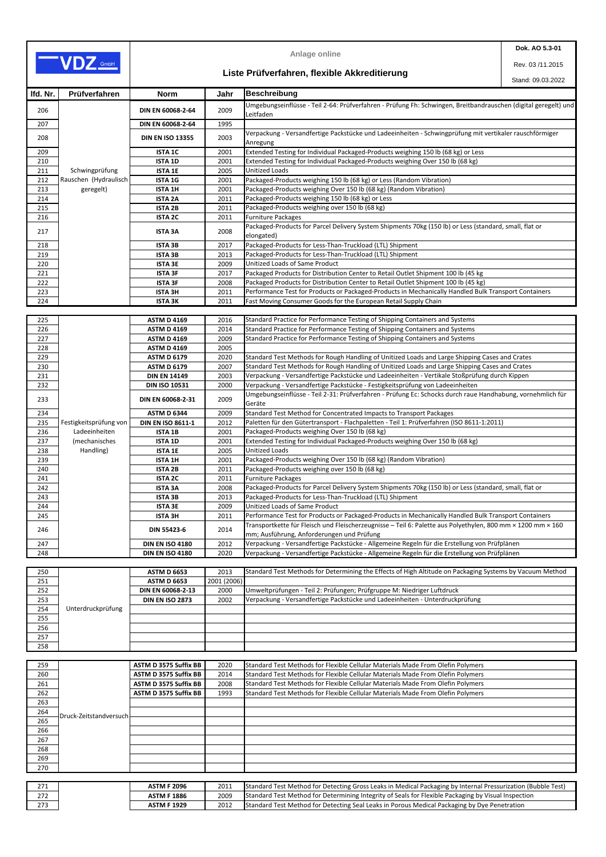|     | <b>ASTM F 2096</b> | 2011 | Standard Test Method for Detecting Gross Leaks in Medical Packaging by Internal Pressurization (Bubble Test) |
|-----|--------------------|------|--------------------------------------------------------------------------------------------------------------|
| 272 | <b>ASTM F 1886</b> | 2009 | Standard Test Method for Determining Integrity of Seals for Flexible Packaging by Visual Inspection          |
| 273 | <b>ASTM F 1929</b> | 2012 | Standard Test Method for Detecting Seal Leaks in Porous Medical Packaging by Dye Penetration                 |

|          |                        |                          |      | <b>Anlage online</b>                                                                                                                                     | Dok. AO 5.3-01    |
|----------|------------------------|--------------------------|------|----------------------------------------------------------------------------------------------------------------------------------------------------------|-------------------|
|          | VDZ GmbH               |                          |      |                                                                                                                                                          | Rev. 03/11.2015   |
|          |                        |                          |      | Liste Prüfverfahren, flexible Akkreditierung                                                                                                             | Stand: 09.03.2022 |
| Ifd. Nr. | Prüfverfahren          | <b>Norm</b>              | Jahr | Beschreibung                                                                                                                                             |                   |
| 206      |                        | DIN EN 60068-2-64        | 2009 | Umgebungseinflüsse - Teil 2-64: Prüfverfahren - Prüfung Fh: Schwingen, Breitbandrauschen (digital geregelt) und                                          |                   |
| 207      |                        | DIN EN 60068-2-64        | 1995 | Leitfaden                                                                                                                                                |                   |
| 208      |                        | <b>DIN EN ISO 13355</b>  | 2003 | Verpackung - Versandfertige Packstücke und Ladeeinheiten - Schwingprüfung mit vertikaler rauschförmiger<br>Anregung                                      |                   |
| 209      |                        | <b>ISTA 1C</b>           | 2001 | Extended Testing for Individual Packaged-Products weighing 150 lb (68 kg) or Less                                                                        |                   |
| 210      |                        | <b>ISTA 1D</b>           | 2001 | Extended Testing for Individual Packaged-Products weighing Over 150 lb (68 kg)                                                                           |                   |
| 211      | Schwingprüfung         | <b>ISTA 1E</b>           | 2005 | <b>Unitized Loads</b>                                                                                                                                    |                   |
| 212      | Rauschen (Hydraulisch  | <b>ISTA 1G</b>           | 2001 | Packaged-Products weighing 150 lb (68 kg) or Less (Random Vibration)                                                                                     |                   |
| 213      | geregelt)              | <b>ISTA 1H</b>           | 2001 | Packaged-Products weighing Over 150 lb (68 kg) (Random Vibration)                                                                                        |                   |
| 214      |                        | <b>ISTA 2A</b>           | 2011 | Packaged-Products weighing 150 lb (68 kg) or Less                                                                                                        |                   |
| 215      |                        | <b>ISTA 2B</b>           | 2011 | Packaged-Products weighing over 150 lb (68 kg)                                                                                                           |                   |
| 216      |                        | <b>ISTA 2C</b>           | 2011 | <b>Furniture Packages</b>                                                                                                                                |                   |
| 217      |                        | <b>ISTA 3A</b>           | 2008 | Packaged-Products for Parcel Delivery System Shipments 70kg (150 lb) or Less (standard, small, flat or<br>elongated)                                     |                   |
| 218      |                        | <b>ISTA 3B</b>           | 2017 | Packaged-Products for Less-Than-Truckload (LTL) Shipment                                                                                                 |                   |
| 219      |                        | <b>ISTA 3B</b>           | 2013 | Packaged-Products for Less-Than-Truckload (LTL) Shipment                                                                                                 |                   |
| 220      |                        | <b>ISTA 3E</b>           | 2009 | Unitized Loads of Same Product                                                                                                                           |                   |
| 221      |                        | <b>ISTA 3F</b>           | 2017 | Packaged Products for Distribution Center to Retail Outlet Shipment 100 lb (45 kg                                                                        |                   |
| 222      |                        | <b>ISTA 3F</b>           | 2008 | Packaged Products for Distribution Center to Retail Outlet Shipment 100 lb (45 kg)                                                                       |                   |
| 223      |                        | <b>ISTA 3H</b>           | 2011 | Performance Test for Products or Packaged-Products in Mechanically Handled Bulk Transport Containers                                                     |                   |
| 224      |                        | <b>ISTA 3K</b>           | 2011 | Fast Moving Consumer Goods for the European Retail Supply Chain                                                                                          |                   |
|          |                        |                          |      |                                                                                                                                                          |                   |
| 225      |                        | <b>ASTM D 4169</b>       | 2016 | Standard Practice for Performance Testing of Shipping Containers and Systems                                                                             |                   |
| 226      |                        | <b>ASTM D 4169</b>       | 2014 | Standard Practice for Performance Testing of Shipping Containers and Systems                                                                             |                   |
| 227      |                        | <b>ASTM D 4169</b>       | 2009 | Standard Practice for Performance Testing of Shipping Containers and Systems                                                                             |                   |
| 228      |                        | <b>ASTM D 4169</b>       | 2005 |                                                                                                                                                          |                   |
| 229      |                        | <b>ASTM D 6179</b>       | 2020 | Standard Test Methods for Rough Handling of Unitized Loads and Large Shipping Cases and Crates                                                           |                   |
| 230      |                        | <b>ASTM D 6179</b>       | 2007 | Standard Test Methods for Rough Handling of Unitized Loads and Large Shipping Cases and Crates                                                           |                   |
| 231      |                        | <b>DIN EN 14149</b>      | 2003 | Verpackung - Versandfertige Packstücke und Ladeeinheiten - Vertikale Stoßprüfung durch Kippen                                                            |                   |
| 232      |                        | <b>DIN ISO 10531</b>     | 2000 | Verpackung - Versandfertige Packstücke - Festigkeitsprüfung von Ladeeinheiten                                                                            |                   |
| 233      |                        | DIN EN 60068-2-31        | 2009 | Umgebungseinflüsse - Teil 2-31: Prüfverfahren - Prüfung Ec: Schocks durch raue Handhabung, vornehmlich für<br>Geräte                                     |                   |
| 234      |                        | <b>ASTM D 6344</b>       | 2009 | Standard Test Method for Concentrated Impacts to Transport Packages                                                                                      |                   |
| 235      | Festigkeitsprüfung von | <b>DIN EN ISO 8611-1</b> | 2012 | Paletten für den Gütertransport - Flachpaletten - Teil 1: Prüfverfahren (ISO 8611-1:2011)                                                                |                   |
| 236      | Ladeeinheiten          | <b>ISTA 1B</b>           | 2001 | Packaged-Products weighing Over 150 lb (68 kg)                                                                                                           |                   |
| 237      | (mechanisches          | <b>ISTA 1D</b>           | 2001 | Extended Testing for Individual Packaged-Products weighing Over 150 lb (68 kg)                                                                           |                   |
| 238      | Handling)              | <b>ISTA 1E</b>           | 2005 | <b>Unitized Loads</b>                                                                                                                                    |                   |
| 239      |                        | <b>ISTA 1H</b>           | 2001 | Packaged-Products weighing Over 150 lb (68 kg) (Random Vibration)                                                                                        |                   |
| 240      |                        | <b>ISTA 2B</b>           | 2011 | Packaged-Products weighing over 150 lb (68 kg)                                                                                                           |                   |
| 241      |                        | <b>ISTA 2C</b>           | 2011 | <b>Furniture Packages</b>                                                                                                                                |                   |
| 242      |                        | <b>ISTA 3A</b>           | 2008 | Packaged-Products for Parcel Delivery System Shipments 70kg (150 lb) or Less (standard, small, flat or                                                   |                   |
| 243      |                        | <b>ISTA 3B</b>           | 2013 | Packaged-Products for Less-Than-Truckload (LTL) Shipment                                                                                                 |                   |
| 244      |                        | <b>ISTA 3E</b>           | 2009 | Unitized Loads of Same Product                                                                                                                           |                   |
| 245      |                        | <b>ISTA 3H</b>           | 2011 | Performance Test for Products or Packaged-Products in Mechanically Handled Bulk Transport Containers                                                     |                   |
| 246      |                        | <b>DIN 55423-6</b>       | 2014 | Transportkette für Fleisch und Fleischerzeugnisse - Teil 6: Palette aus Polyethylen, 800 mm × 1200 mm × 160<br>mm; Ausführung, Anforderungen und Prüfung |                   |
| 247      |                        | <b>DIN EN ISO 4180</b>   | 2012 | Verpackung - Versandfertige Packstücke - Allgemeine Regeln für die Erstellung von Prüfplänen                                                             |                   |
| 248      |                        | <b>DIN EN ISO 4180</b>   | 2020 | Verpackung - Versandfertige Packstücke - Allgemeine Regeln für die Erstellung von Prüfplänen                                                             |                   |
|          |                        |                          |      |                                                                                                                                                          |                   |
| 250      |                        | <b>ASTM D 6653</b>       | 2013 | Standard Test Methods for Determining the Effects of High Altitude on Packaging Systems by Vacuum Method                                                 |                   |

| 251 |                        | <b>ASTM D 6653</b>           | 2001 (2006) |                                                                                 |
|-----|------------------------|------------------------------|-------------|---------------------------------------------------------------------------------|
| 252 |                        | DIN EN 60068-2-13            | 2000        | Umweltprüfungen - Teil 2: Prüfungen; Prüfgruppe M: Niedriger Luftdruck          |
| 253 |                        | <b>DIN EN ISO 2873</b>       | 2002        | Verpackung - Versandfertige Packstücke und Ladeeinheiten - Unterdruckprüfung    |
| 254 | Unterdruckprüfung      |                              |             |                                                                                 |
| 255 |                        |                              |             |                                                                                 |
| 256 |                        |                              |             |                                                                                 |
| 257 |                        |                              |             |                                                                                 |
| 258 |                        |                              |             |                                                                                 |
|     |                        |                              |             |                                                                                 |
| 259 |                        | <b>ASTM D 3575 Suffix BB</b> | 2020        | Standard Test Methods for Flexible Cellular Materials Made From Olefin Polymers |
| 260 |                        | <b>ASTM D 3575 Suffix BB</b> | 2014        | Standard Test Methods for Flexible Cellular Materials Made From Olefin Polymers |
| 261 |                        | <b>ASTM D 3575 Suffix BB</b> | 2008        | Standard Test Methods for Flexible Cellular Materials Made From Olefin Polymers |
| 262 |                        | <b>ASTM D 3575 Suffix BB</b> | 1993        | Standard Test Methods for Flexible Cellular Materials Made From Olefin Polymers |
| 263 |                        |                              |             |                                                                                 |
| 264 | Druck-Zeitstandversuch |                              |             |                                                                                 |
| 265 |                        |                              |             |                                                                                 |
| 266 |                        |                              |             |                                                                                 |
| 267 |                        |                              |             |                                                                                 |
| 268 |                        |                              |             |                                                                                 |
| 269 |                        |                              |             |                                                                                 |
| 270 |                        |                              |             |                                                                                 |